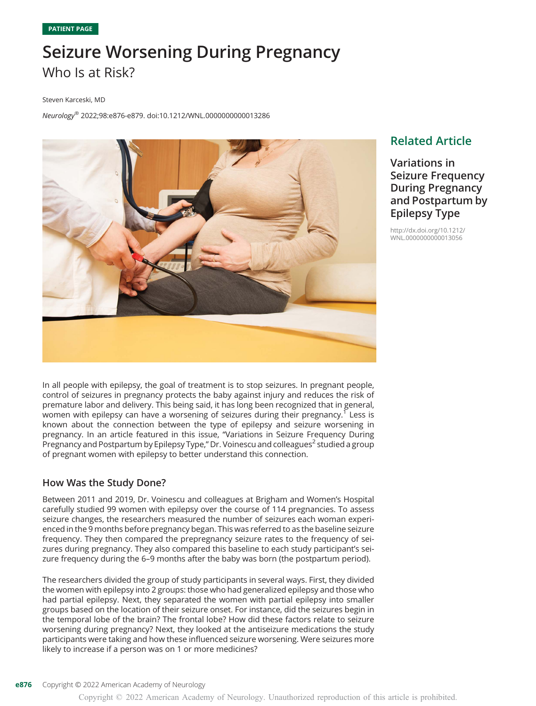# Seizure Worsening During Pregnancy Who Is at Risk?

Steven Karceski, MD

Neurology® 2022;98:e876-e879. doi[:10.1212/WNL.0000000000013286](http://dx.doi.org/10.1212/WNL.0000000000013286)



### Related Article

Variations in Seizure Frequency During Pregnancy and Postpartum by Epilepsy Type

[http://dx.doi.org/10.1212/](http://dx.doi.org/10.1212/WNL.0000000000013056) [WNL.0000000000013056](http://dx.doi.org/10.1212/WNL.0000000000013056)

In all people with epilepsy, the goal of treatment is to stop seizures. In pregnant people, control of seizures in pregnancy protects the baby against injury and reduces the risk of premature labor and delivery. This being said, it has long been recognized that in general, women with epilepsy can have a worsening of seizures during their pregnancy.<sup>1</sup> Less is known about the connection between the type of epilepsy and seizure worsening in pregnancy. In an article featured in this issue, "Variations in Seizure Frequency During Pregnancy and Postpartum by Epilepsy Type," Dr. Voinescu and colleagues<sup>2</sup> studied a group of pregnant women with epilepsy to better understand this connection.

#### How Was the Study Done?

Between 2011 and 2019, Dr. Voinescu and colleagues at Brigham and Women's Hospital carefully studied 99 women with epilepsy over the course of 114 pregnancies. To assess seizure changes, the researchers measured the number of seizures each woman experienced in the 9 months before pregnancy began. This was referred to as the baseline seizure frequency. They then compared the prepregnancy seizure rates to the frequency of seizures during pregnancy. They also compared this baseline to each study participant's seizure frequency during the 6–9 months after the baby was born (the postpartum period).

The researchers divided the group of study participants in several ways. First, they divided the women with epilepsy into 2 groups: those who had generalized epilepsy and those who had partial epilepsy. Next, they separated the women with partial epilepsy into smaller groups based on the location of their seizure onset. For instance, did the seizures begin in the temporal lobe of the brain? The frontal lobe? How did these factors relate to seizure worsening during pregnancy? Next, they looked at the antiseizure medications the study participants were taking and how these influenced seizure worsening. Were seizures more likely to increase if a person was on 1 or more medicines?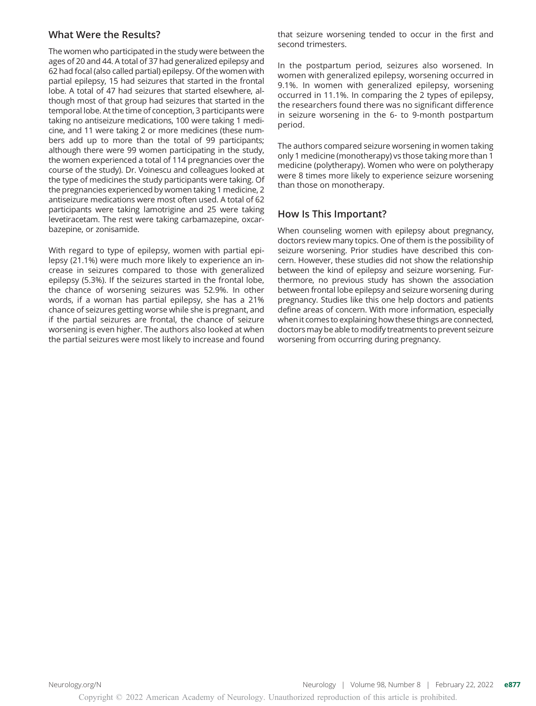#### What Were the Results?

The women who participated in the study were between the ages of 20 and 44. A total of 37 had generalized epilepsy and 62 had focal (also called partial) epilepsy. Of the women with partial epilepsy, 15 had seizures that started in the frontal lobe. A total of 47 had seizures that started elsewhere, although most of that group had seizures that started in the temporal lobe. At the time of conception, 3 participants were taking no antiseizure medications, 100 were taking 1 medicine, and 11 were taking 2 or more medicines (these numbers add up to more than the total of 99 participants; although there were 99 women participating in the study, the women experienced a total of 114 pregnancies over the course of the study). Dr. Voinescu and colleagues looked at the type of medicines the study participants were taking. Of the pregnancies experienced by women taking 1 medicine, 2 antiseizure medications were most often used. A total of 62 participants were taking lamotrigine and 25 were taking levetiracetam. The rest were taking carbamazepine, oxcarbazepine, or zonisamide.

With regard to type of epilepsy, women with partial epilepsy (21.1%) were much more likely to experience an increase in seizures compared to those with generalized epilepsy (5.3%). If the seizures started in the frontal lobe, the chance of worsening seizures was 52.9%. In other words, if a woman has partial epilepsy, she has a 21% chance of seizures getting worse while she is pregnant, and if the partial seizures are frontal, the chance of seizure worsening is even higher. The authors also looked at when the partial seizures were most likely to increase and found that seizure worsening tended to occur in the first and second trimesters.

In the postpartum period, seizures also worsened. In women with generalized epilepsy, worsening occurred in 9.1%. In women with generalized epilepsy, worsening occurred in 11.1%. In comparing the 2 types of epilepsy, the researchers found there was no significant difference in seizure worsening in the 6- to 9-month postpartum period.

The authors compared seizure worsening in women taking only 1 medicine (monotherapy) vs those taking more than 1 medicine (polytherapy). Women who were on polytherapy were 8 times more likely to experience seizure worsening than those on monotherapy.

#### How Is This Important?

When counseling women with epilepsy about pregnancy, doctors review many topics. One of them is the possibility of seizure worsening. Prior studies have described this concern. However, these studies did not show the relationship between the kind of epilepsy and seizure worsening. Furthermore, no previous study has shown the association between frontal lobe epilepsy and seizure worsening during pregnancy. Studies like this one help doctors and patients define areas of concern. With more information, especially when it comes to explaining how these things are connected, doctors may be able to modify treatments to prevent seizure worsening from occurring during pregnancy.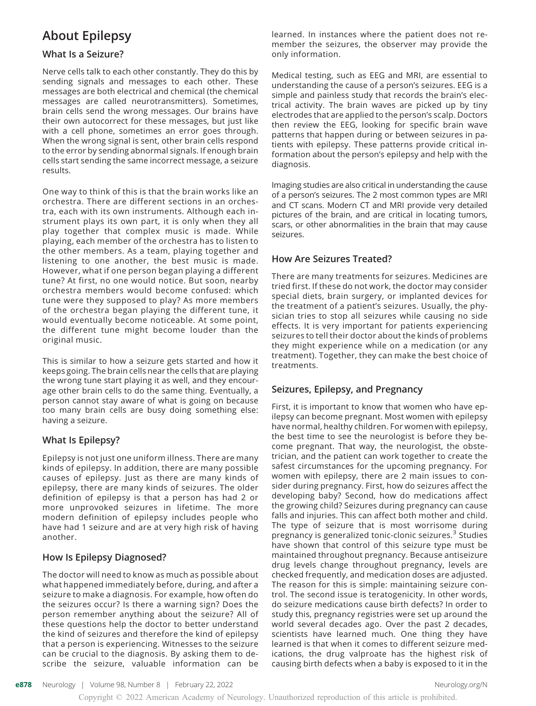## About Epilepsy

#### What Is a Seizure?

Nerve cells talk to each other constantly. They do this by sending signals and messages to each other. These messages are both electrical and chemical (the chemical messages are called neurotransmitters). Sometimes, brain cells send the wrong messages. Our brains have their own autocorrect for these messages, but just like with a cell phone, sometimes an error goes through. When the wrong signal is sent, other brain cells respond to the error by sending abnormal signals. If enough brain cells start sending the same incorrect message, a seizure results.

One way to think of this is that the brain works like an orchestra. There are different sections in an orchestra, each with its own instruments. Although each instrument plays its own part, it is only when they all play together that complex music is made. While playing, each member of the orchestra has to listen to the other members. As a team, playing together and listening to one another, the best music is made. However, what if one person began playing a different tune? At first, no one would notice. But soon, nearby orchestra members would become confused: which tune were they supposed to play? As more members of the orchestra began playing the different tune, it would eventually become noticeable. At some point, the different tune might become louder than the original music.

This is similar to how a seizure gets started and how it keeps going. The brain cells near the cells that are playing the wrong tune start playing it as well, and they encourage other brain cells to do the same thing. Eventually, a person cannot stay aware of what is going on because too many brain cells are busy doing something else: having a seizure.

#### What Is Epilepsy?

Epilepsy is not just one uniform illness. There are many kinds of epilepsy. In addition, there are many possible causes of epilepsy. Just as there are many kinds of epilepsy, there are many kinds of seizures. The older definition of epilepsy is that a person has had 2 or more unprovoked seizures in lifetime. The more modern definition of epilepsy includes people who have had 1 seizure and are at very high risk of having another.

#### How Is Epilepsy Diagnosed?

The doctor will need to know as much as possible about what happened immediately before, during, and after a seizure to make a diagnosis. For example, how often do the seizures occur? Is there a warning sign? Does the person remember anything about the seizure? All of these questions help the doctor to better understand the kind of seizures and therefore the kind of epilepsy that a person is experiencing. Witnesses to the seizure can be crucial to the diagnosis. By asking them to describe the seizure, valuable information can be

learned. In instances where the patient does not remember the seizures, the observer may provide the only information.

Medical testing, such as EEG and MRI, are essential to understanding the cause of a person's seizures. EEG is a simple and painless study that records the brain's electrical activity. The brain waves are picked up by tiny electrodes that are applied to the person's scalp. Doctors then review the EEG, looking for specific brain wave patterns that happen during or between seizures in patients with epilepsy. These patterns provide critical information about the person's epilepsy and help with the diagnosis.

Imaging studies are also critical in understanding the cause of a person's seizures. The 2 most common types are MRI and CT scans. Modern CT and MRI provide very detailed pictures of the brain, and are critical in locating tumors, scars, or other abnormalities in the brain that may cause seizures.

#### How Are Seizures Treated?

There are many treatments for seizures. Medicines are tried first. If these do not work, the doctor may consider special diets, brain surgery, or implanted devices for the treatment of a patient's seizures. Usually, the physician tries to stop all seizures while causing no side effects. It is very important for patients experiencing seizures to tell their doctor about the kinds of problems they might experience while on a medication (or any treatment). Together, they can make the best choice of treatments.

#### Seizures, Epilepsy, and Pregnancy

First, it is important to know that women who have epilepsy can become pregnant. Most women with epilepsy have normal, healthy children. For women with epilepsy, the best time to see the neurologist is before they become pregnant. That way, the neurologist, the obstetrician, and the patient can work together to create the safest circumstances for the upcoming pregnancy. For women with epilepsy, there are 2 main issues to consider during pregnancy. First, how do seizures affect the developing baby? Second, how do medications affect the growing child? Seizures during pregnancy can cause falls and injuries. This can affect both mother and child. The type of seizure that is most worrisome during pregnancy is generalized tonic-clonic seizures.<sup>3</sup> Studies have shown that control of this seizure type must be maintained throughout pregnancy. Because antiseizure drug levels change throughout pregnancy, levels are checked frequently, and medication doses are adjusted. The reason for this is simple: maintaining seizure control. The second issue is teratogenicity. In other words, do seizure medications cause birth defects? In order to study this, pregnancy registries were set up around the world several decades ago. Over the past 2 decades, scientists have learned much. One thing they have learned is that when it comes to different seizure medications, the drug valproate has the highest risk of causing birth defects when a baby is exposed to it in the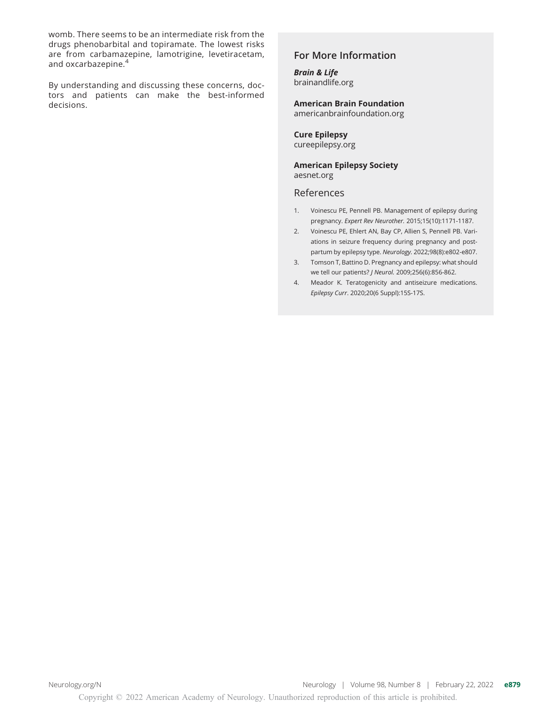womb. There seems to be an intermediate risk from the drugs phenobarbital and topiramate. The lowest risks are from carbamazepine, lamotrigine, levetiracetam, and oxcarbazepine.<sup>4</sup>

By understanding and discussing these concerns, doctors and patients can make the best-informed decisions.

#### For More Information

#### Brain & Life [brainandlife.org](http://brainandlife.org)

American Brain Foundation

[americanbrainfoundation.org](https://www.americanbrainfoundation.org/)

#### Cure Epilepsy [cureepilepsy.org](https://cureepilepsy.org/)

American Epilepsy Society [aesnet.org](https://aesnet.org/)

#### References

- 1. Voinescu PE, Pennell PB. Management of epilepsy during pregnancy. Expert Rev Neurother. 2015;15(10):1171-1187.
- 2. Voinescu PE, Ehlert AN, Bay CP, Allien S, Pennell PB. Variations in seizure frequency during pregnancy and postpartum by epilepsy type. Neurology. 2022;98(8):e802-e807.
- 3. Tomson T, Battino D. Pregnancy and epilepsy: what should we tell our patients? J Neurol. 2009;256(6):856-862.
- 4. Meador K. Teratogenicity and antiseizure medications. Epilepsy Curr. 2020;20(6 Suppl):15S-17S.